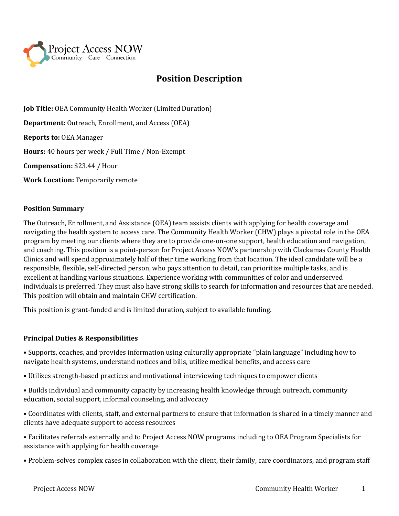

# **Position Description**

**Job Title:** OEA Community Health Worker (Limited Duration) **Department:** Outreach, Enrollment, and Access (OEA) **Reports to:** OEA Manager **Hours:** 40 hours per week / Full Time / Non-Exempt **Compensation:** \$23.44 / Hour **Work Location:** Temporarily remote

#### **Position Summary**

The Outreach, Enrollment, and Assistance (OEA) team assists clients with applying for health coverage and navigating the health system to access care. The Community Health Worker (CHW) plays a pivotal role in the OEA program by meeting our clients where they are to provide one-on-one support, health education and navigation, and coaching. This position is a point-person for Project Access NOW's partnership with Clackamas County Health Clinics and will spend approximately half of their time working from that location. The ideal candidate will be a responsible, flexible, self-directed person, who pays attention to detail, can prioritize multiple tasks, and is excellent at handling various situations. Experience working with communities of color and underserved individuals is preferred. They must also have strong skills to search for information and resources that are needed. This position will obtain and maintain CHW certification.

This position is grant-funded and is limited duration, subject to available funding.

#### **Principal Duties & Responsibilities**

• Supports, coaches, and provides information using culturally appropriate "plain language" including how to navigate health systems, understand notices and bills, utilize medical benefits, and access care

- Utilizes strength-based practices and motivational interviewing techniques to empower clients
- Builds individual and community capacity by increasing health knowledge through outreach, community education, social support, informal counseling, and advocacy
- Coordinates with clients, staff, and external partners to ensure that information is shared in a timely manner and clients have adequate support to access resources
- Facilitates referrals externally and to Project Access NOW programs including to OEA Program Specialists for assistance with applying for health coverage
- Problem-solves complex cases in collaboration with the client, their family, care coordinators, and program staff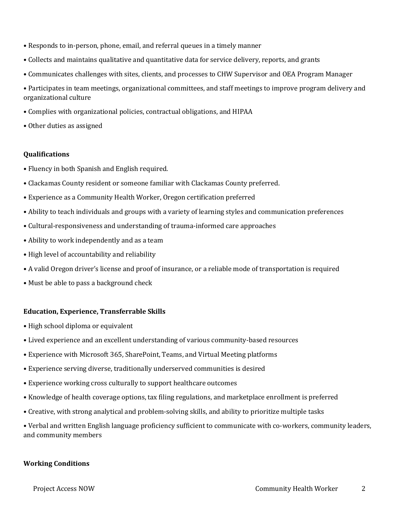- Responds to in-person, phone, email, and referral queues in a timely manner
- Collects and maintains qualitative and quantitative data for service delivery, reports, and grants
- Communicates challenges with sites, clients, and processes to CHW Supervisor and OEA Program Manager
- Participates in team meetings, organizational committees, and staff meetings to improve program delivery and organizational culture
- Complies with organizational policies, contractual obligations, and HIPAA
- Other duties as assigned

### **Qualifications**

- Fluency in both Spanish and English required.
- Clackamas County resident or someone familiar with Clackamas County preferred.
- Experience as a Community Health Worker, Oregon certification preferred
- Ability to teach individuals and groups with a variety of learning styles and communication preferences
- Cultural-responsiveness and understanding of trauma-informed care approaches
- Ability to work independently and as a team
- High level of accountability and reliability
- A valid Oregon driver's license and proof of insurance, or a reliable mode of transportation is required
- Must be able to pass a background check

#### **Education, Experience, Transferrable Skills**

- High school diploma or equivalent
- Lived experience and an excellent understanding of various community-based resources
- Experience with Microsoft 365, SharePoint, Teams, and Virtual Meeting platforms
- Experience serving diverse, traditionally underserved communities is desired
- Experience working cross culturally to support healthcare outcomes
- Knowledge of health coverage options, tax filing regulations, and marketplace enrollment is preferred
- Creative, with strong analytical and problem-solving skills, and ability to prioritize multiple tasks

• Verbal and written English language proficiency sufficient to communicate with co-workers, community leaders, and community members

#### **Working Conditions**